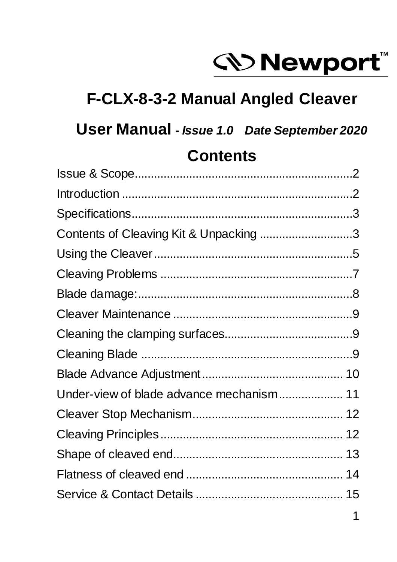

### **F-CLX-8-3-2 Manual Angled Cleaver**

### **User Manual -** *Issue 1.0 Date September 2020*

### **Contents**

| Contents of Cleaving Kit & Unpacking 3   |  |
|------------------------------------------|--|
|                                          |  |
|                                          |  |
|                                          |  |
|                                          |  |
|                                          |  |
|                                          |  |
|                                          |  |
| Under-view of blade advance mechanism 11 |  |
|                                          |  |
|                                          |  |
|                                          |  |
|                                          |  |
|                                          |  |
|                                          |  |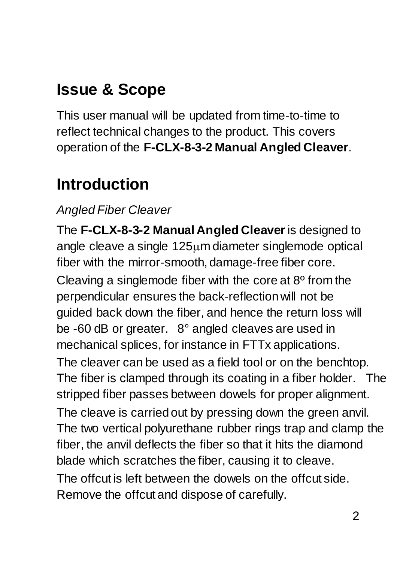## **Issue & Scope**

This user manual will be updated from time-to-time to reflect technical changes to the product. This covers operation of the **F-CLX-8-3-2 Manual Angled Cleaver**.

## **Introduction**

#### *Angled Fiber Cleaver*

The **F-CLX-8-3-2 Manual Angled Cleaver**is designed to angle cleave a single  $125\mu m$  diameter singlemode optical fiber with the mirror-smooth, damage-free fiber core. Cleaving a singlemode fiber with the core at 8º from the perpendicular ensures the back-reflection will not be guided back down the fiber, and hence the return loss will be -60 dB or greater. 8° angled cleaves are used in mechanical splices, for instance in FTTx applications. The cleaver can be used as a field tool or on the benchtop. The fiber is clamped through its coating in a fiber holder. The stripped fiber passes between dowels for proper alignment. The cleave is carried out by pressing down the green anvil. The two vertical polyurethane rubber rings trap and clamp the fiber, the anvil deflects the fiber so that it hits the diamond blade which scratches the fiber, causing it to cleave. The offcut is left between the dowels on the offcut side. Remove the offcut and dispose of carefully.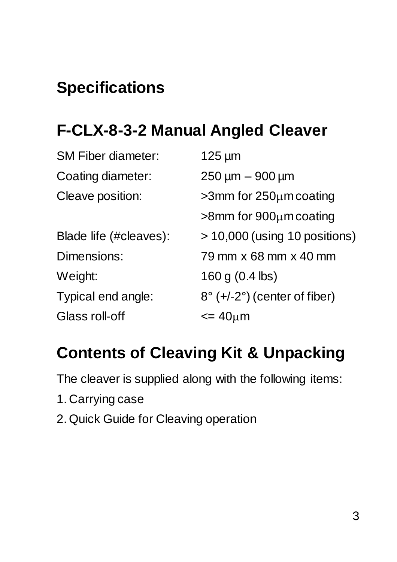# **Specifications**

## **F-CLX-8-3-2 Manual Angled Cleaver**

| <b>SM Fiber diameter:</b> | $125 \mu m$                                      |
|---------------------------|--------------------------------------------------|
| Coating diameter:         | $250 \mu m - 900 \mu m$                          |
| Cleave position:          | $>3$ mm for 250 $\mu$ m coating                  |
|                           | $>8$ mm for 900 $\mu$ m coating                  |
| Blade life (#cleaves):    | $> 10,000$ (using 10 positions)                  |
| Dimensions:               | 79 mm x 68 mm x 40 mm                            |
| Weight:                   | 160 g $(0.4$ lbs)                                |
| Typical end angle:        | $8^{\circ}$ (+/-2 $^{\circ}$ ) (center of fiber) |
| Glass roll-off            | $=40 \mu m$                                      |
|                           |                                                  |

## **Contents of Cleaving Kit & Unpacking**

The cleaver is supplied along with the following items:

- 1. Carrying case
- 2. Quick Guide for Cleaving operation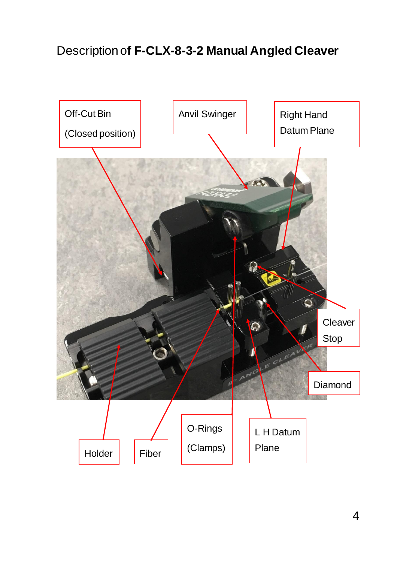#### Description o**f F-CLX-8-3-2 Manual Angled Cleaver**

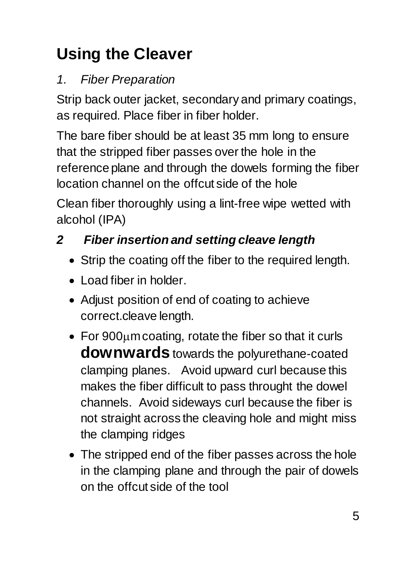# **Using the Cleaver**

### *1. Fiber Preparation*

Strip back outer jacket, secondary and primary coatings, as required. Place fiber in fiber holder.

The bare fiber should be at least 35 mm long to ensure that the stripped fiber passes over the hole in the reference plane and through the dowels forming the fiber location channel on the offcut side of the hole

Clean fiber thoroughly using a lint-free wipe wetted with alcohol (IPA)

### *2 Fiber insertion and setting cleave length*

- Strip the coating off the fiber to the required length.
- Load fiber in holder.
- Adjust position of end of coating to achieve correct.cleave length.
- For  $900\mu$ m coating, rotate the fiber so that it curls **downwards** towards the polyurethane-coated clamping planes. Avoid upward curl because this makes the fiber difficult to pass throught the dowel channels. Avoid sideways curl because the fiber is not straight across the cleaving hole and might miss the clamping ridges
- The stripped end of the fiber passes across the hole in the clamping plane and through the pair of dowels on the offcut side of the tool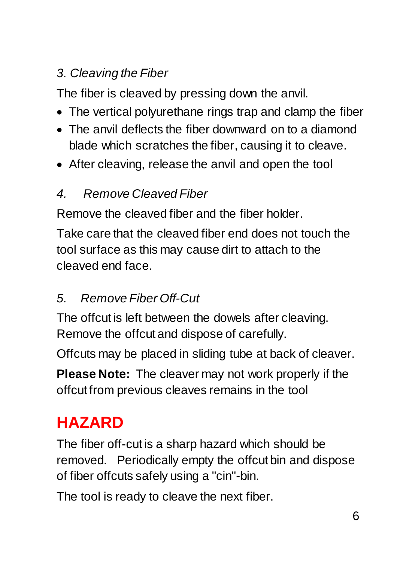### *3. Cleaving the Fiber*

The fiber is cleaved by pressing down the anvil.

- The vertical polyurethane rings trap and clamp the fiber
- The anvil deflects the fiber downward on to a diamond blade which scratches the fiber, causing it to cleave.
- After cleaving, release the anvil and open the tool

#### *4. Remove Cleaved Fiber*

Remove the cleaved fiber and the fiber holder.

Take care that the cleaved fiber end does not touch the tool surface as this may cause dirt to attach to the cleaved end face.

#### *5. Remove Fiber Off-Cut*

The offcut is left between the dowels after cleaving. Remove the offcut and dispose of carefully.

Offcuts may be placed in sliding tube at back of cleaver.

**Please Note:** The cleaver may not work properly if the offcut from previous cleaves remains in the tool

## **HAZARD**

The fiber off-cut is a sharp hazard which should be removed. Periodically empty the offcut bin and dispose of fiber offcuts safely using a "cin"-bin.

The tool is ready to cleave the next fiber.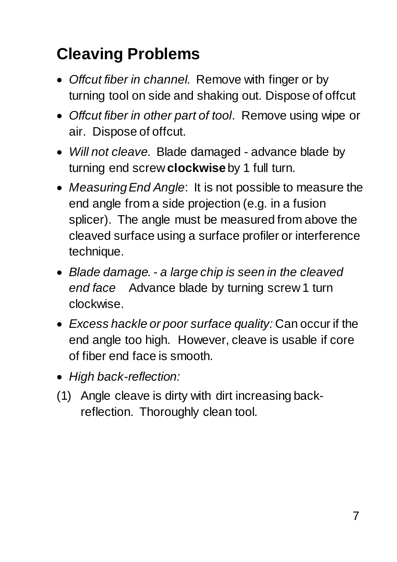# **Cleaving Problems**

- *Offcut fiber in channel.* Remove with finger or by turning tool on side and shaking out. Dispose of offcut
- *Offcut fiber in other part of tool*. Remove using wipe or air. Dispose of offcut.
- *Will not cleave.* Blade damaged advance blade by turning end screw **clockwise** by 1 full turn.
- *Measuring End Angle*: It is not possible to measure the end angle from a side projection (e.g. in a fusion splicer). The angle must be measured from above the cleaved surface using a surface profiler or interference technique.
- *Blade damage. - a large chip is seen in the cleaved end face* Advance blade by turning screw 1 turn clockwise.
- *Excess hackle or poor surface quality:* Can occur if the end angle too high. However, cleave is usable if core of fiber end face is smooth.
- *High back-reflection:*
- (1) Angle cleave is dirty with dirt increasing backreflection. Thoroughly clean tool.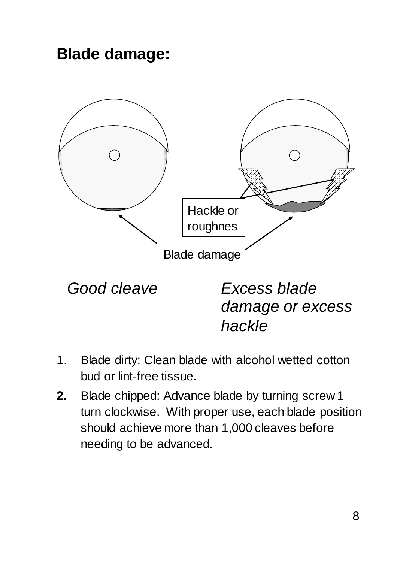**Blade damage:**



*Good cleave Excess blade damage or excess hackle*

- 1. Blade dirty: Clean blade with alcohol wetted cotton bud or lint-free tissue.
- **2.** Blade chipped: Advance blade by turning screw 1 turn clockwise. With proper use, each blade position should achieve more than 1,000 cleaves before needing to be advanced.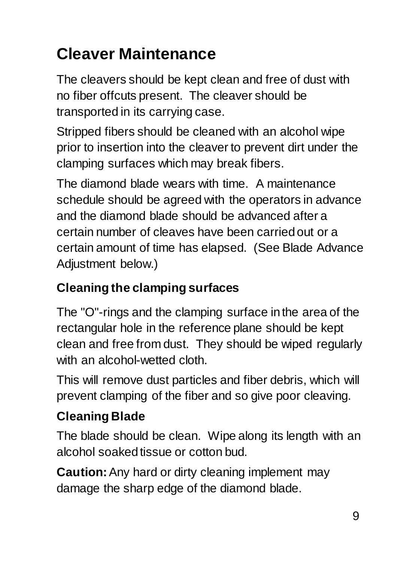# **Cleaver Maintenance**

The cleavers should be kept clean and free of dust with no fiber offcuts present. The cleaver should be transported in its carrying case.

Stripped fibers should be cleaned with an alcohol wipe prior to insertion into the cleaver to prevent dirt under the clamping surfaces which may break fibers.

The diamond blade wears with time. A maintenance schedule should be agreed with the operators in advance and the diamond blade should be advanced after a certain number of cleaves have been carried out or a certain amount of time has elapsed. (See Blade Advance Adjustment below.)

### **Cleaning the clamping surfaces**

The "O"-rings and the clamping surface in the area of the rectangular hole in the reference plane should be kept clean and free from dust. They should be wiped regularly with an alcohol-wetted cloth.

This will remove dust particles and fiber debris, which will prevent clamping of the fiber and so give poor cleaving.

### **Cleaning Blade**

The blade should be clean. Wipe along its length with an alcohol soaked tissue or cotton bud.

**Caution:**Any hard or dirty cleaning implement may damage the sharp edge of the diamond blade.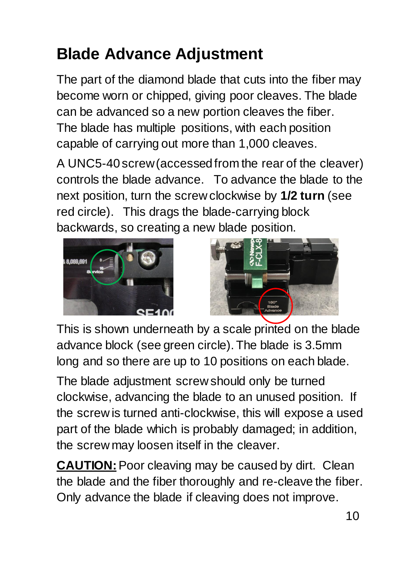# **Blade Advance Adjustment**

The part of the diamond blade that cuts into the fiber may become worn or chipped, giving poor cleaves. The blade can be advanced so a new portion cleaves the fiber. The blade has multiple positions, with each position capable of carrying out more than 1,000 cleaves.

A UNC5-40screw (accessed from the rear of the cleaver) controls the blade advance. To advance the blade to the next position, turn the screw clockwise by **1/2 turn** (see red circle). This drags the blade-carrying block backwards, so creating a new blade position.





This is shown underneath by a scale printed on the blade advance block (see green circle). The blade is 3.5mm long and so there are up to 10 positions on each blade.

The blade adjustment screw should only be turned clockwise, advancing the blade to an unused position. If the screw is turned anti-clockwise, this will expose a used part of the blade which is probably damaged; in addition, the screw may loosen itself in the cleaver.

**CAUTION:** Poor cleaving may be caused by dirt. Clean the blade and the fiber thoroughly and re-cleave the fiber. Only advance the blade if cleaving does not improve.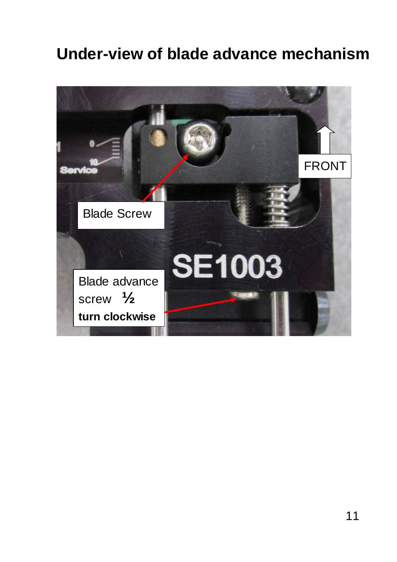### **Under-view of blade advance mechanism**

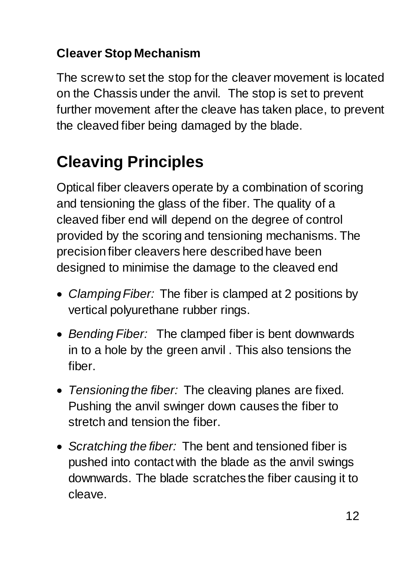#### **Cleaver Stop Mechanism**

The screw to set the stop for the cleaver movement is located on the Chassis under the anvil. The stop is set to prevent further movement after the cleave has taken place, to prevent the cleaved fiber being damaged by the blade.

# **Cleaving Principles**

Optical fiber cleavers operate by a combination of scoring and tensioning the glass of the fiber. The quality of a cleaved fiber end will depend on the degree of control provided by the scoring and tensioning mechanisms. The precision fiber cleavers here described have been designed to minimise the damage to the cleaved end

- *Clamping Fiber:* The fiber is clamped at 2 positions by vertical polyurethane rubber rings.
- *Bending Fiber:* The clamped fiber is bent downwards in to a hole by the green anvil . This also tensions the fiber.
- *Tensioning the fiber:* The cleaving planes are fixed. Pushing the anvil swinger down causes the fiber to stretch and tension the fiber.
- *Scratching the fiber:* The bent and tensioned fiber is pushed into contact with the blade as the anvil swings downwards. The blade scratches the fiber causing it to cleave.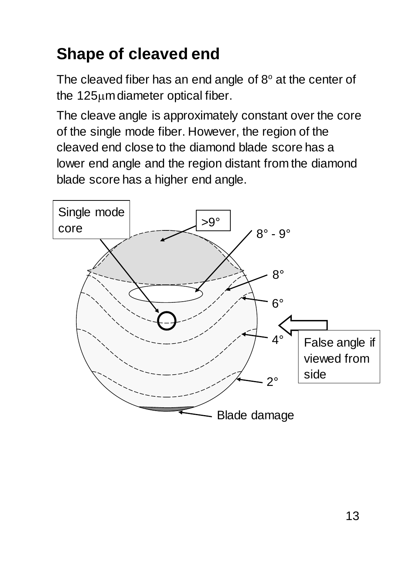# **Shape of cleaved end**

The cleaved fiber has an end angle of  $8^\circ$  at the center of the  $125\mu$ m diameter optical fiber.

The cleave angle is approximately constant over the core of the single mode fiber. However, the region of the cleaved end close to the diamond blade score has a lower end angle and the region distant from the diamond blade score has a higher end angle.

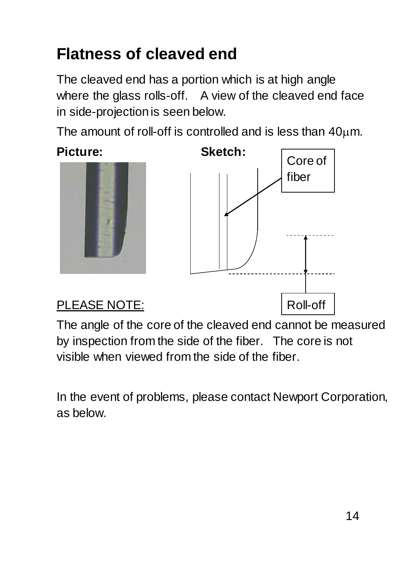## **Flatness of cleaved end**

The cleaved end has a portion which is at high angle where the glass rolls-off. A view of the cleaved end face in side-projection is seen below.

The amount of roll-off is controlled and is less than  $40\mu$ m.





#### PLEASE NOTE:

The angle of the core of the cleaved end cannot be measured by inspection from the side of the fiber. The core is not visible when viewed from the side of the fiber.

In the event of problems, please contact Newport Corporation, as below.